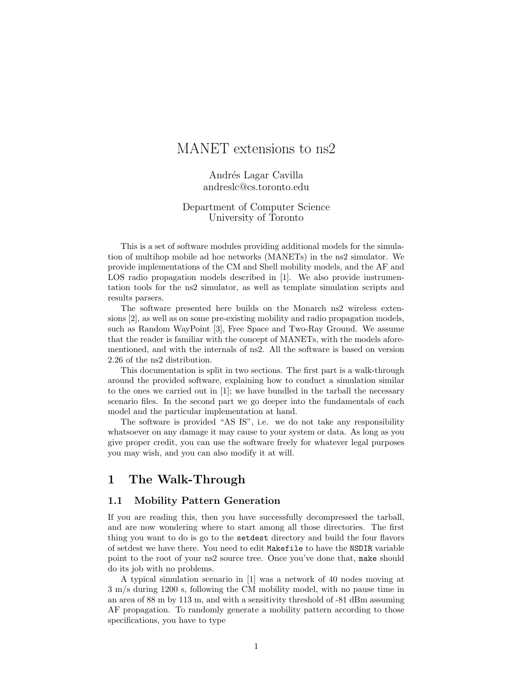# MANET extensions to ns2

Andrés Lagar Cavilla andreslc@cs.toronto.edu

### Department of Computer Science University of Toronto

This is a set of software modules providing additional models for the simulation of multihop mobile ad hoc networks (MANETs) in the ns2 simulator. We provide implementations of the CM and Shell mobility models, and the AF and LOS radio propagation models described in [1]. We also provide instrumentation tools for the ns2 simulator, as well as template simulation scripts and results parsers.

The software presented here builds on the Monarch ns2 wireless extensions [2], as well as on some pre-existing mobility and radio propagation models, such as Random WayPoint [3], Free Space and Two-Ray Ground. We assume that the reader is familiar with the concept of MANETs, with the models aforementioned, and with the internals of ns2. All the software is based on version 2.26 of the ns2 distribution.

This documentation is split in two sections. The first part is a walk-through around the provided software, explaining how to conduct a simulation similar to the ones we carried out in [1]; we have bundled in the tarball the necessary scenario files. In the second part we go deeper into the fundamentals of each model and the particular implementation at hand.

The software is provided "AS IS", i.e. we do not take any responsibility whatsoever on any damage it may cause to your system or data. As long as you give proper credit, you can use the software freely for whatever legal purposes you may wish, and you can also modify it at will.

## 1 The Walk-Through

### 1.1 Mobility Pattern Generation

If you are reading this, then you have successfully decompressed the tarball, and are now wondering where to start among all those directories. The first thing you want to do is go to the setdest directory and build the four flavors of setdest we have there. You need to edit Makefile to have the NSDIR variable point to the root of your ns2 source tree. Once you've done that, make should do its job with no problems.

A typical simulation scenario in [1] was a network of 40 nodes moving at 3 m/s during 1200 s, following the CM mobility model, with no pause time in an area of 88 m by 113 m, and with a sensitivity threshold of -81 dBm assuming AF propagation. To randomly generate a mobility pattern according to those specifications, you have to type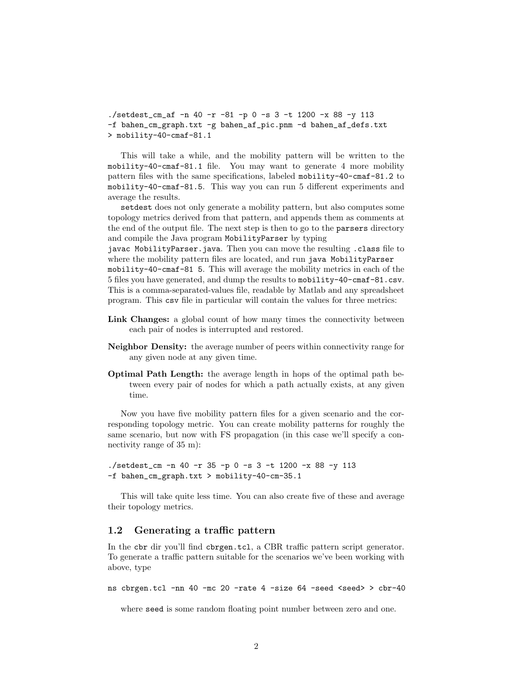./setdest\_cm\_af -n 40 -r -81 -p 0 -s 3 -t 1200 -x 88 -y 113 -f bahen\_cm\_graph.txt -g bahen\_af\_pic.pnm -d bahen\_af\_defs.txt > mobility-40-cmaf-81.1

This will take a while, and the mobility pattern will be written to the mobility-40-cmaf-81.1 file. You may want to generate 4 more mobility pattern files with the same specifications, labeled mobility-40-cmaf-81.2 to mobility-40-cmaf-81.5. This way you can run 5 different experiments and average the results.

setdest does not only generate a mobility pattern, but also computes some topology metrics derived from that pattern, and appends them as comments at the end of the output file. The next step is then to go to the parsers directory and compile the Java program MobilityParser by typing

javac MobilityParser.java. Then you can move the resulting .class file to where the mobility pattern files are located, and run java MobilityParser

mobility-40-cmaf-81 5. This will average the mobility metrics in each of the 5 files you have generated, and dump the results to mobility-40-cmaf-81.csv. This is a comma-separated-values file, readable by Matlab and any spreadsheet program. This csv file in particular will contain the values for three metrics:

- Link Changes: a global count of how many times the connectivity between each pair of nodes is interrupted and restored.
- Neighbor Density: the average number of peers within connectivity range for any given node at any given time.
- Optimal Path Length: the average length in hops of the optimal path between every pair of nodes for which a path actually exists, at any given time.

Now you have five mobility pattern files for a given scenario and the corresponding topology metric. You can create mobility patterns for roughly the same scenario, but now with FS propagation (in this case we'll specify a connectivity range of 35 m):

```
./setdest_cm -n 40 -r 35 -p 0 -s 3 -t 1200 -x 88 -y 113
-f bahen_cm_graph.txt > mobility-40-cm-35.1
```
This will take quite less time. You can also create five of these and average their topology metrics.

#### 1.2 Generating a traffic pattern

In the cbr dir you'll find cbrgen.tcl, a CBR traffic pattern script generator. To generate a traffic pattern suitable for the scenarios we've been working with above, type

ns cbrgen.tcl -nn 40 -mc 20 -rate 4 -size 64 -seed <seed> > cbr-40

where seed is some random floating point number between zero and one.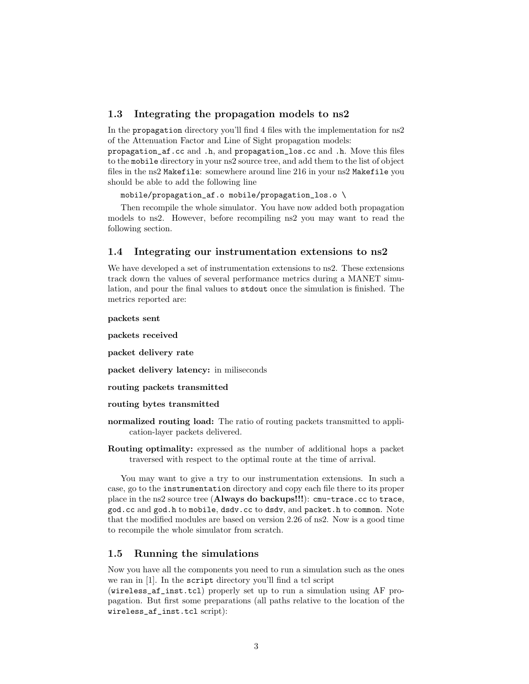#### 1.3 Integrating the propagation models to ns2

In the propagation directory you'll find 4 files with the implementation for ns2 of the Attenuation Factor and Line of Sight propagation models:

propagation\_af.cc and .h, and propagation\_los.cc and .h. Move this files to the mobile directory in your ns2 source tree, and add them to the list of object files in the ns2 Makefile: somewhere around line 216 in your ns2 Makefile you should be able to add the following line

mobile/propagation\_af.o mobile/propagation\_los.o \

Then recompile the whole simulator. You have now added both propagation models to ns2. However, before recompiling ns2 you may want to read the following section.

#### 1.4 Integrating our instrumentation extensions to ns2

We have developed a set of instrumentation extensions to ns2. These extensions track down the values of several performance metrics during a MANET simulation, and pour the final values to stdout once the simulation is finished. The metrics reported are:

packets sent

packets received

packet delivery rate

packet delivery latency: in miliseconds

routing packets transmitted

routing bytes transmitted

- normalized routing load: The ratio of routing packets transmitted to application-layer packets delivered.
- Routing optimality: expressed as the number of additional hops a packet traversed with respect to the optimal route at the time of arrival.

You may want to give a try to our instrumentation extensions. In such a case, go to the instrumentation directory and copy each file there to its proper place in the ns2 source tree (Always do backups!!!): cmu-trace.cc to trace, god.cc and god.h to mobile, dsdv.cc to dsdv, and packet.h to common. Note that the modified modules are based on version 2.26 of ns2. Now is a good time to recompile the whole simulator from scratch.

## 1.5 Running the simulations

Now you have all the components you need to run a simulation such as the ones we ran in [1]. In the script directory you'll find a tcl script

(wireless\_af\_inst.tcl) properly set up to run a simulation using AF propagation. But first some preparations (all paths relative to the location of the wireless\_af\_inst.tcl script):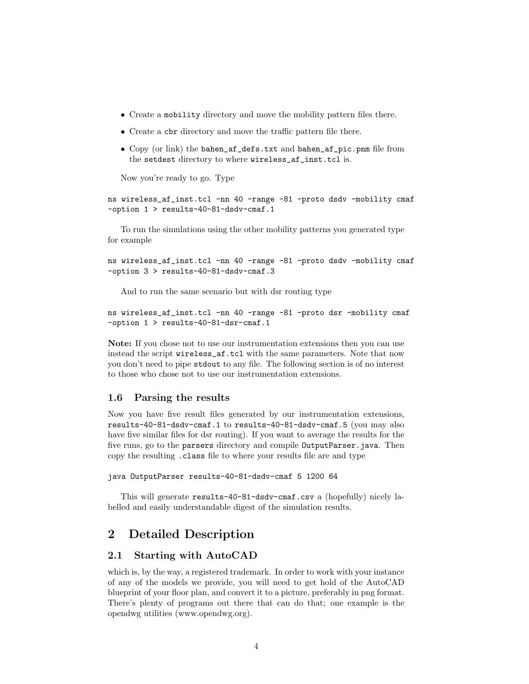- Create a mobility directory and move the mobility pattern files there.
- Create a cbr directory and move the traffic pattern file there.
- Copy (or link) the bahen\_af\_defs.txt and bahen\_af\_pic.pnm file from the setdest directory to where wireless\_af\_inst.tcl is.

Now you're ready to go. Type

ns wireless\_af\_inst.tcl -nn 40 -range -81 -proto dsdv -mobility cmaf -option 1 > results-40-81-dsdv-cmaf.1

To run the simulations using the other mobility patterns you generated type for example

ns wireless\_af\_inst.tcl -nn 40 -range -81 -proto dsdv -mobility cmaf -option 3 > results-40-81-dsdv-cmaf.3

And to run the same scenario but with dsr routing type

ns wireless\_af\_inst.tcl -nn 40 -range -81 -proto dsr -mobility cmaf -option 1 > results-40-81-dsr-cmaf.1

Note: If you chose not to use our instrumentation extensions then you can use instead the script wireless\_af.tcl with the same parameters. Note that now you don't need to pipe stdout to any file. The following section is of no interest to those who chose not to use our instrumentation extensions.

#### 1.6 Parsing the results

Now you have five result files generated by our instrumentation extensions, results-40-81-dsdv-cmaf.1 to results-40-81-dsdv-cmaf.5 (you may also have five similar files for dsr routing). If you want to average the results for the five runs, go to the parsers directory and compile OutputParser.java. Then copy the resulting .class file to where your results file are and type

```
java OutputParser results-40-81-dsdv-cmaf 5 1200 64
```
This will generate results-40-81-dsdv-cmaf.csv a (hopefully) nicely labelled and easily understandable digest of the simulation results.

## 2 Detailed Description

### 2.1 Starting with AutoCAD

which is, by the way, a registered trademark. In order to work with your instance of any of the models we provide, you will need to get hold of the AutoCAD blueprint of your floor plan, and convert it to a picture, preferably in png format. There's plenty of programs out there that can do that; one example is the opendwg utilities (www.opendwg.org).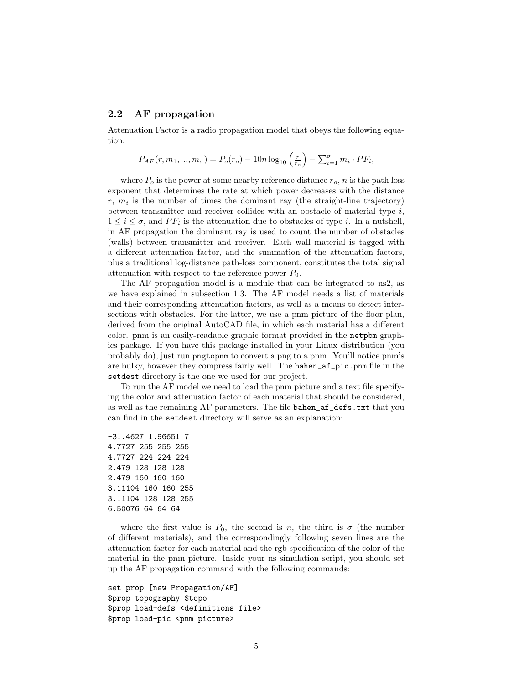### 2.2 AF propagation

Attenuation Factor is a radio propagation model that obeys the following equation:

$$
P_{AF}(r, m_1, ..., m_{\sigma}) = P_o(r_o) - 10n \log_{10} \left(\frac{r}{r_o}\right) - \sum_{i=1}^{\sigma} m_i \cdot PF_i,
$$

where  $P_o$  is the power at some nearby reference distance  $r_o$ , n is the path loss exponent that determines the rate at which power decreases with the distance  $r, m<sub>i</sub>$  is the number of times the dominant ray (the straight-line trajectory) between transmitter and receiver collides with an obstacle of material type  $i$ ,  $1 \leq i \leq \sigma$ , and  $PF_i$  is the attenuation due to obstacles of type *i*. In a nutshell, in AF propagation the dominant ray is used to count the number of obstacles (walls) between transmitter and receiver. Each wall material is tagged with a different attenuation factor, and the summation of the attenuation factors, plus a traditional log-distance path-loss component, constitutes the total signal attenuation with respect to the reference power  $P_0$ .

The AF propagation model is a module that can be integrated to ns2, as we have explained in subsection 1.3. The AF model needs a list of materials and their corresponding attenuation factors, as well as a means to detect intersections with obstacles. For the latter, we use a pnm picture of the floor plan, derived from the original AutoCAD file, in which each material has a different color. pnm is an easily-readable graphic format provided in the netpbm graphics package. If you have this package installed in your Linux distribution (you probably do), just run pngtopnm to convert a png to a pnm. You'll notice pnm's are bulky, however they compress fairly well. The bahen\_af\_pic.pnm file in the setdest directory is the one we used for our project.

To run the AF model we need to load the pnm picture and a text file specifying the color and attenuation factor of each material that should be considered, as well as the remaining AF parameters. The file bahen\_af\_defs.txt that you can find in the setdest directory will serve as an explanation:

-31.4627 1.96651 7 4.7727 255 255 255 4.7727 224 224 224 2.479 128 128 128 2.479 160 160 160 3.11104 160 160 255 3.11104 128 128 255 6.50076 64 64 64

where the first value is  $P_0$ , the second is n, the third is  $\sigma$  (the number of different materials), and the correspondingly following seven lines are the attenuation factor for each material and the rgb specification of the color of the material in the pnm picture. Inside your ns simulation script, you should set up the AF propagation command with the following commands:

```
set prop [new Propagation/AF]
$prop topography $topo
$prop load-defs <definitions file>
$prop load-pic <pnm picture>
```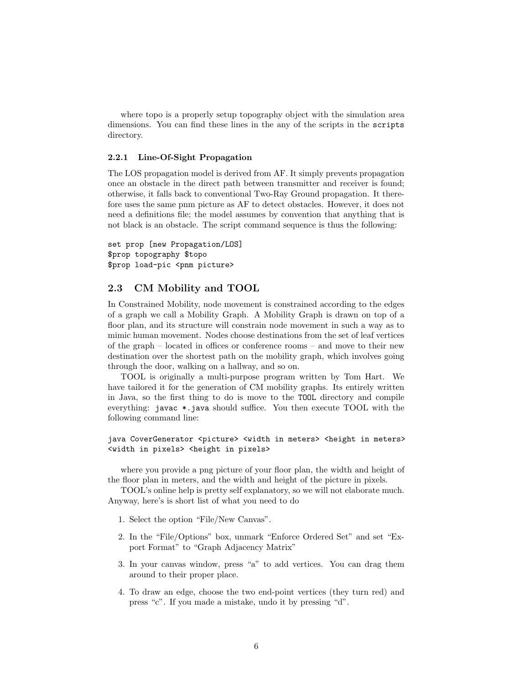where topo is a properly setup topography object with the simulation area dimensions. You can find these lines in the any of the scripts in the scripts directory.

#### 2.2.1 Line-Of-Sight Propagation

The LOS propagation model is derived from AF. It simply prevents propagation once an obstacle in the direct path between transmitter and receiver is found; otherwise, it falls back to conventional Two-Ray Ground propagation. It therefore uses the same pnm picture as AF to detect obstacles. However, it does not need a definitions file; the model assumes by convention that anything that is not black is an obstacle. The script command sequence is thus the following:

set prop [new Propagation/LOS] \$prop topography \$topo \$prop load-pic <pnm picture>

#### 2.3 CM Mobility and TOOL

In Constrained Mobility, node movement is constrained according to the edges of a graph we call a Mobility Graph. A Mobility Graph is drawn on top of a floor plan, and its structure will constrain node movement in such a way as to mimic human movement. Nodes choose destinations from the set of leaf vertices of the graph – located in offices or conference rooms – and move to their new destination over the shortest path on the mobility graph, which involves going through the door, walking on a hallway, and so on.

TOOL is originally a multi-purpose program written by Tom Hart. We have tailored it for the generation of CM mobility graphs. Its entirely written in Java, so the first thing to do is move to the TOOL directory and compile everything: javac \*.java should suffice. You then execute TOOL with the following command line:

#### java CoverGenerator <picture> <width in meters> <height in meters> <width in pixels> <height in pixels>

where you provide a png picture of your floor plan, the width and height of the floor plan in meters, and the width and height of the picture in pixels.

TOOL's online help is pretty self explanatory, so we will not elaborate much. Anyway, here's is short list of what you need to do

- 1. Select the option "File/New Canvas".
- 2. In the "File/Options" box, unmark "Enforce Ordered Set" and set "Export Format" to "Graph Adjacency Matrix"
- 3. In your canvas window, press "a" to add vertices. You can drag them around to their proper place.
- 4. To draw an edge, choose the two end-point vertices (they turn red) and press "c". If you made a mistake, undo it by pressing "d".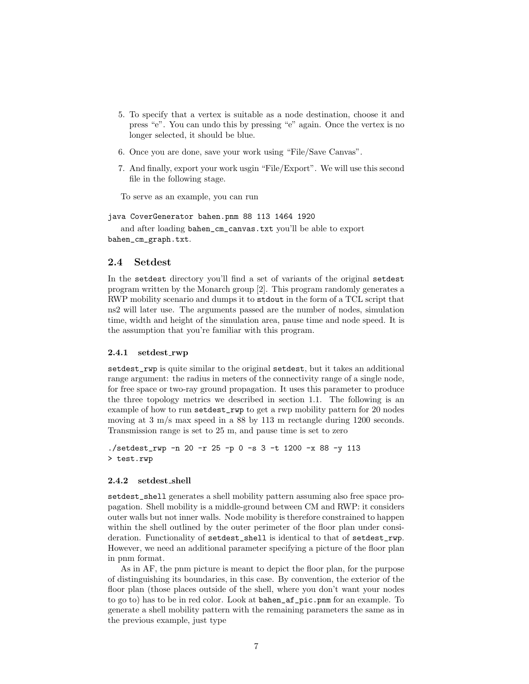- 5. To specify that a vertex is suitable as a node destination, choose it and press "e". You can undo this by pressing "e" again. Once the vertex is no longer selected, it should be blue.
- 6. Once you are done, save your work using "File/Save Canvas".
- 7. And finally, export your work usgin "File/Export". We will use this second file in the following stage.

To serve as an example, you can run

java CoverGenerator bahen.pnm 88 113 1464 1920

and after loading bahen\_cm\_canvas.txt you'll be able to export bahen\_cm\_graph.txt.

#### 2.4 Setdest

In the setdest directory you'll find a set of variants of the original setdest program written by the Monarch group [2]. This program randomly generates a RWP mobility scenario and dumps it to stdout in the form of a TCL script that ns2 will later use. The arguments passed are the number of nodes, simulation time, width and height of the simulation area, pause time and node speed. It is the assumption that you're familiar with this program.

#### 2.4.1 setdest rwp

setdest\_rwp is quite similar to the original setdest, but it takes an additional range argument: the radius in meters of the connectivity range of a single node, for free space or two-ray ground propagation. It uses this parameter to produce the three topology metrics we described in section 1.1. The following is an example of how to run setdest\_rwp to get a rwp mobility pattern for 20 nodes moving at 3 m/s max speed in a 88 by 113 m rectangle during 1200 seconds. Transmission range is set to 25 m, and pause time is set to zero

./setdest\_rwp -n 20 -r 25 -p 0 -s 3 -t 1200 -x 88 -y 113 > test.rwp

#### 2.4.2 setdest shell

setdest\_shell generates a shell mobility pattern assuming also free space propagation. Shell mobility is a middle-ground between CM and RWP: it considers outer walls but not inner walls. Node mobility is therefore constrained to happen within the shell outlined by the outer perimeter of the floor plan under consideration. Functionality of setdest\_shell is identical to that of setdest\_rwp. However, we need an additional parameter specifying a picture of the floor plan in pnm format.

As in AF, the pnm picture is meant to depict the floor plan, for the purpose of distinguishing its boundaries, in this case. By convention, the exterior of the floor plan (those places outside of the shell, where you don't want your nodes to go to) has to be in red color. Look at bahen\_af\_pic.pnm for an example. To generate a shell mobility pattern with the remaining parameters the same as in the previous example, just type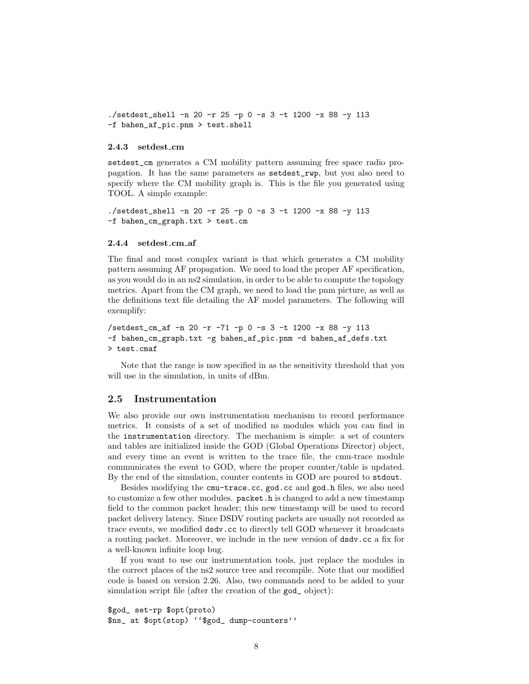./setdest\_shell -n 20 -r 25 -p 0 -s 3 -t 1200 -x 88 -y 113 -f bahen\_af\_pic.pnm > test.shell

#### 2.4.3 setdest\_cm

setdest\_cm generates a CM mobility pattern assuming free space radio propagation. It has the same parameters as setdest\_rwp, but you also need to specify where the CM mobility graph is. This is the file you generated using TOOL. A simple example:

```
./setdest_shell -n 20 -r 25 -p 0 -s 3 -t 1200 -x 88 -y 113
-f bahen_cm_graph.txt > test.cm
```
#### 2.4.4 setdest cm af

The final and most complex variant is that which generates a CM mobility pattern assuming AF propagation. We need to load the proper AF specification, as you would do in an ns2 simulation, in order to be able to compute the topology metrics. Apart from the CM graph, we need to load the pnm picture, as well as the definitions text file detailing the AF model parameters. The following will exemplify:

```
/setdest_cm_af -n 20 -r -71 -p 0 -s 3 -t 1200 -x 88 -y 113
-f bahen_cm_graph.txt -g bahen_af_pic.pnm -d bahen_af_defs.txt
> test.cmaf
```
Note that the range is now specified in as the sensitivity threshold that you will use in the simulation, in units of dBm.

#### 2.5 Instrumentation

We also provide our own instrumentation mechanism to record performance metrics. It consists of a set of modified ns modules which you can find in the instrumentation directory. The mechanism is simple: a set of counters and tables are initialized inside the GOD (Global Operations Director) object, and every time an event is written to the trace file, the cmu-trace module communicates the event to GOD, where the proper counter/table is updated. By the end of the simulation, counter contents in GOD are poured to stdout.

Besides modifying the cmu-trace.cc, god.cc and god.h files, we also need to customize a few other modules. packet.h is changed to add a new timestamp field to the common packet header; this new timestamp will be used to record packet delivery latency. Since DSDV routing packets are usually not recorded as trace events, we modified dsdv.cc to directly tell GOD whenever it broadcasts a routing packet. Moreover, we include in the new version of dsdv.cc a fix for a well-known infinite loop bug.

If you want to use our instrumentation tools, just replace the modules in the correct places of the ns2 source tree and recompile. Note that our modified code is based on version 2.26. Also, two commands need to be added to your simulation script file (after the creation of the god\_ object):

```
$god_ set-rp $opt(proto)
$ns_ at $opt(stop) ''$god_ dump-counters''
```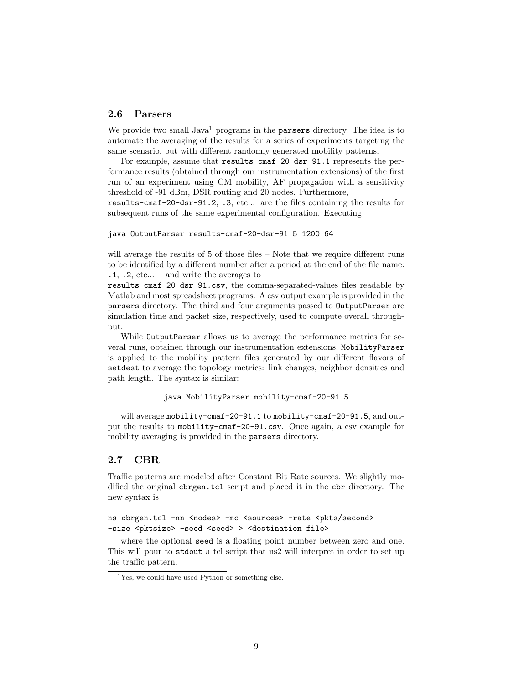### 2.6 Parsers

We provide two small  $Java<sup>1</sup>$  programs in the parsers directory. The idea is to automate the averaging of the results for a series of experiments targeting the same scenario, but with different randomly generated mobility patterns.

For example, assume that results-cmaf-20-dsr-91.1 represents the performance results (obtained through our instrumentation extensions) of the first run of an experiment using CM mobility, AF propagation with a sensitivity threshold of -91 dBm, DSR routing and 20 nodes. Furthermore,

results-cmaf-20-dsr-91.2, .3, etc... are the files containing the results for subsequent runs of the same experimental configuration. Executing

```
java OutputParser results-cmaf-20-dsr-91 5 1200 64
```
will average the results of 5 of those files – Note that we require different runs to be identified by a different number after a period at the end of the file name: .1, .2, etc... – and write the averages to

results-cmaf-20-dsr-91.csv, the comma-separated-values files readable by Matlab and most spreadsheet programs. A csv output example is provided in the parsers directory. The third and four arguments passed to OutputParser are simulation time and packet size, respectively, used to compute overall throughput.

While OutputParser allows us to average the performance metrics for several runs, obtained through our instrumentation extensions, MobilityParser is applied to the mobility pattern files generated by our different flavors of setdest to average the topology metrics: link changes, neighbor densities and path length. The syntax is similar:

```
java MobilityParser mobility-cmaf-20-91 5
```
will average mobility-cmaf-20-91.1 to mobility-cmaf-20-91.5, and output the results to mobility-cmaf-20-91.csv. Once again, a csv example for mobility averaging is provided in the parsers directory.

### 2.7 CBR

Traffic patterns are modeled after Constant Bit Rate sources. We slightly modified the original cbrgen.tcl script and placed it in the cbr directory. The new syntax is

```
ns cbrgen.tcl -nn <nodes> -mc <sources> -rate <pkts/second>
-size <pktsize> -seed <seed> > <destination file>
```
where the optional seed is a floating point number between zero and one. This will pour to stdout a tcl script that ns2 will interpret in order to set up the traffic pattern.

 $1$ Yes, we could have used Python or something else.